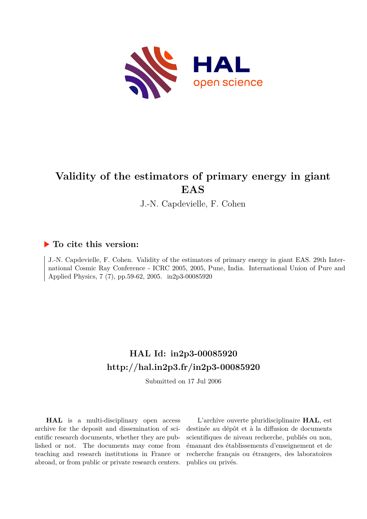

# **Validity of the estimators of primary energy in giant EAS**

J.-N. Capdevielle, F. Cohen

### **To cite this version:**

J.-N. Capdevielle, F. Cohen. Validity of the estimators of primary energy in giant EAS. 29th International Cosmic Ray Conference - ICRC 2005, 2005, Pune, India. International Union of Pure and Applied Physics, 7 (7), pp.59-62, 2005. in2p3-00085920

## **HAL Id: in2p3-00085920 <http://hal.in2p3.fr/in2p3-00085920>**

Submitted on 17 Jul 2006

**HAL** is a multi-disciplinary open access archive for the deposit and dissemination of scientific research documents, whether they are published or not. The documents may come from teaching and research institutions in France or abroad, or from public or private research centers.

L'archive ouverte pluridisciplinaire **HAL**, est destinée au dépôt et à la diffusion de documents scientifiques de niveau recherche, publiés ou non, émanant des établissements d'enseignement et de recherche français ou étrangers, des laboratoires publics ou privés.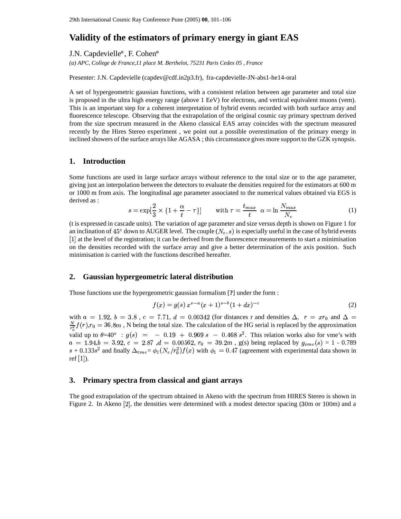### **Validity of the estimators of primary energy in giant EAS**

J.N. Capdevielle<sup>*a*</sup>, F. Cohen<sup>*a*</sup>

*(a) APC, College de France,11 place M. Berthelot, 75231 Paris Cedex 05 , France*

Presenter: J.N. Capdevielle (capdev@cdf.in2p3.fr), fra-capdevielle-JN-abs1-he14-oral

A set of hypergeometric gaussian functions, with a consistent relation between age parameter and total size is proposed in the ultra high energy range (above 1 EeV) for electrons, and vertical equivalent muons (vem). This is an important step for a coherent interpretation of hybrid events recorded with both surface array and fluorescence telescope. Observing that the extrapolation of the original cosmic ray primary spectrum derived from the size spectrum measured in the Akeno classical EAS array coincides with the spectrum measured recently by the Hires Stereo experiment , we point out a possible overestimation of the primary energy in inclined showers of the surface arrayslike AGASA ; this circumstance gives more support to the GZK synopsis.

#### **1. Introduction**

Some functions are used in large surface arrays without reference to the total size or to the age parameter, giving just an interpolation between the detectors to evaluate the densities required for the estimators at 600 m or 1000 m from axis. The longitudinal age parameter associated to the numerical values obtained via EGS is derived as : +\*\$,.-

$$
s = \exp\left[\frac{2}{3} \times \{1 + \frac{\alpha}{t} - \tau\}\right] \quad \text{with } \tau = \frac{t_{max}}{t} \quad \alpha = \ln \frac{N_{max}}{N_e} \tag{1}
$$

(t is expressed in cascade units). The variation of age parameter and size versus depth is shown on Figure 1 for an inclination of 45° down to AUGER level. The couple  $(N_e, s)$  is especially useful in the case of hybrid events [1] at the level of the registration; it can be derived from the fluorescence measurements to start a minimisation on the densities recorded with the surface array and give a better determination of the axis position. Such minimisation is carried with the functions described hereafter.

#### **2. Gaussian hypergeometric lateral distribution**

Those functions use the hypergeometric gaussian formalism [**?**] under the form :

$$
f(x) = g(s) x^{s-a}(x+1)^{s-b} (1+dx)^{-c}
$$
 (2)

with  $a = 1.92$ ,  $b = 3.8$ ,  $c = 7.71$ ,  $d = 0.00342$  (for distances r and densities  $\Delta$ ,  $r = xr_0$  and  $\Delta =$  $\frac{N}{r^2}f(r)$ ,  $r_0 = 36.8m$  , N being the total size. The calculation of the HG serial is replaced by the approximation valid up to  $\theta=40^\circ$  :  $g(s)$  = - 0.19 + 0.969 s - 0.468 s<sup>2</sup>. This relation works also for vme's with  $a = 1.94$ ,  $b = 3.92$ ,  $c = 2.87$  ,  $d = 0.00562$ ,  $r_0 = 39.2$ m, g(s) being replaced by  $g_{vme}(s) = 1$  - 0.7  $(s) = 1$  - 0.789  $s + 0.133s^2$  and finally  $\Delta_{vme} = \phi_1 (N_e/r_0^2) f(x)$  with  $\phi_1 = 0.47$  (agreement with experimental data shown in ref [1]).

#### **3. Primary spectra from classical and giant arrays**

The good extrapolation of the spectrum obtained in Akeno with the spectrum from HIRES Stereo is shown in Figure 2. In Akeno  $[2]$ , the densities were determined with a modest detector spacing (30m or 100m) and a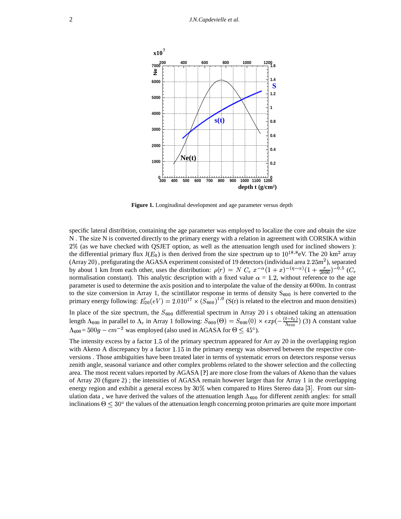

**Figure 1.** Longitudinal development and age parameter versus depth

specific lateral distribtion, containing the age parameter was employed to localize the core and obtain the size N . The size N is converted directly to the primary energy with a relation in agreement with CORSIKA within 2% (as we have checked with QSJET option, as well as the attenuation length used for inclined showers ): the differential primary flux  $J(E_0)$  is then derived from the size spectrum up to  $10^{18.8}$ eV. The 20 km<sup>2</sup> array (Array 20), prefigurating the AGASA experiment consisted of 19 detectors (individual area  $2.25$ m<sup>2</sup>), separated by about 1 km from each other, uses the distribution:  $\rho(r) = N C_e x^{-\alpha} (1+x)^{-(\eta-\alpha)} (1+\frac{r}{2000})^{-0.5} (C_e$ normalisation constant). This analytic description with a fixed value  $\alpha = 1.2$ , without reference to the age parameter is used to determine the axis position and to interpolate the value of the density at 600m. In contrast to the size conversion in Array 1, the scintillator response in terms of density  $S_{600}$  is here converted to the primary energy following:  $E_{20}(eV) = 2.010^{17} \times (S_{600})^{1.0}$  (S(r) is related to the electron and muon densities)

In place of the size spectrum, the  $S_{600}$  differential spectrum in Array 20 i s obtained taking an attenuation length  $\Lambda_{600}$  in parallel to  $\Lambda_e$  in Array 1 following:  $S_{600}(\Theta) = S_{600}(0) \times exp(-\frac{(1-\epsilon_0)}{\Lambda_e})$  (3) A  $\frac{(t-t_0)}{\Lambda_{600}}$  (3) A constant value  $\Lambda_{600}$ = 500g –  $cm^{-2}$  was employed (also used in AGASA for  $\Theta \leq 45^{\circ}$ ).

The intensity excess by a factor  $1.5$  of the primary spectrum appeared for Arr ay 20 in the overlapping region with Akeno A discrepancy by a factor  $1.15$  in the primary energy was observed between the respective conversions . Those ambiguities have been treated later in terms of systematic errors on detectors response versus zenith angle, seasonal variance and other complex problems related to the shower selection and the collecting area. The most recent values reported by AGASA [**?**] are more close from the values of Akeno than the values of Array 20 (figure 2) ; the intensities of AGASA remain however larger than for Array 1 in the overlapping energy region and exhibit a general excess by  $30\%$  when compared to Hires Stereo data [3]. From our simulation data, we have derived the values of the attenuation length  $\Lambda_{600}$  for different zenith angles: for small inclinations  $\Theta \leq 30^{\circ}$  the values of the attenuation length concerning proton primaries are quite more important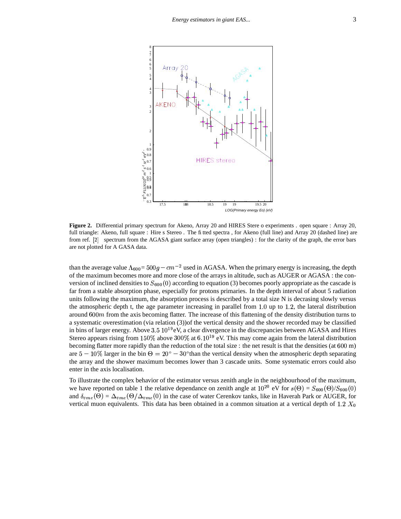

**Figure 2.** Differential primary spectrum for Akeno, Array 20 and HIRES Stere o experiments . open square : Array 20, full triangle: Akeno, full square : Hire s Stereo . The fitted spectra , for Akeno (full line) and Array 20 (dashed line) are from ref. [2] spectrum from the AGASA giant surface array (open triangles) : for the clarity of the graph, the error bars are not plotted for A GASA data.

than the average value  $\Lambda_{600} = 500g - cm^{-2}$  used in AGASA. When the primary energy is increasing, the depth of the maximum becomes more and more close of the arrays in altitude, such as AUGER or AGASA : the conversion of inclined densities to  $S_{600}(0)$  according to equation (3) becomes poorly appropriate as the cascade is far from a stable absorption phase, especially for protons primaries. In the depth interval of about 5 radiation units following the maximum, the absorption process is described by a total size N is decrasing slowly versus the atmospheric depth t, the age parameter increasing in parallel from  $1.0$  up to  $1.2$ , the lateral distribution around  $600m$  from the axis becoming flatter. The increase of this flattening of the density distribution turns to a systematic overestimation (via relation (3))of the vertical density and the shower recorded may be classified in bins of larger energy. Above  $3.5\ 10^{19}$ eV, a clear divergence in the discrepancies between AGASA and Hires Stereo appears rising from 150% above 300% at  $6.10^{19}$  eV. This may come again from the lateral distribution becoming flatter more rapidly than the reduction of the total size : the net result is that the densities (at  $600$  m) are  $5-10\%$  larger in the bin  $\Theta = 20^{\circ} - 30^{\circ}$  than the vertical density when the atmospheric depth separating the array and the shower maximum becomes lower than 3 cascade units. Some systematic errors could also enter in the axis localisation.

To illustrate the complex behavior of the estimator versus zenith angle in the neighbourhood of the maximum, we have reported on table 1 the relative dependance on zenith angle at  $10^{20}$  eV for  $s(\Theta) = S_{600}(\Theta)/S_{600}(0)$ and  $\delta_{vme}(\Theta) = \Delta_{vme}(\Theta/\Delta_{vme}(0))$  in the cas  $(0)$  in the case of water Cerenkov tanks, like in Haverah Park or AUGER, for vertical muon equivalents. This data has been obtained in a common situation at a vertical depth of 1.2  $X_0$